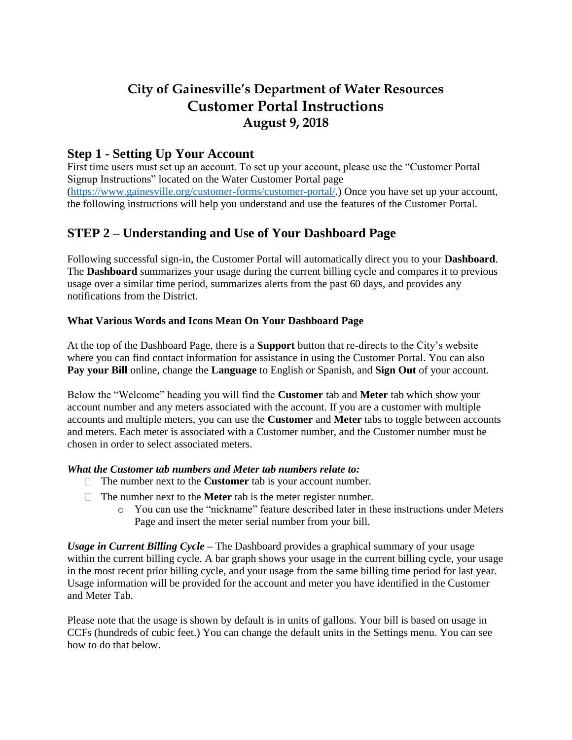# **City of Gainesville's Department of Water Resources Customer Portal Instructions August 9, 2018**

## **Step 1 - Setting Up Your Account**

First time users must set up an account. To set up your account, please use the "Customer Portal Signup Instructions" located on the Water Customer Portal page [\(https://www.gainesville.org/customer-forms/customer-portal/.](https://www.gainesville.org/customer-forms/customer-portal/)) Once you have set up your account, the following instructions will help you understand and use the features of the Customer Portal.

# **STEP 2 – Understanding and Use of Your Dashboard Page**

Following successful sign-in, the Customer Portal will automatically direct you to your **Dashboard**. The **Dashboard** summarizes your usage during the current billing cycle and compares it to previous usage over a similar time period, summarizes alerts from the past 60 days, and provides any notifications from the District.

### **What Various Words and Icons Mean On Your Dashboard Page**

At the top of the Dashboard Page, there is a **Support** button that re-directs to the City's website where you can find contact information for assistance in using the Customer Portal. You can also **Pay your Bill** online, change the **Language** to English or Spanish, and **Sign Out** of your account.

Below the "Welcome" heading you will find the **Customer** tab and **Meter** tab which show your account number and any meters associated with the account. If you are a customer with multiple accounts and multiple meters, you can use the **Customer** and **Meter** tabs to toggle between accounts and meters. Each meter is associated with a Customer number, and the Customer number must be chosen in order to select associated meters.

### *What the Customer tab numbers and Meter tab numbers relate to:*

- The number next to the **Customer** tab is your account number.
- The number next to the **Meter** tab is the meter register number.
	- o You can use the "nickname" feature described later in these instructions under Meters Page and insert the meter serial number from your bill.

*Usage in Current Billing Cycle –* The Dashboard provides a graphical summary of your usage within the current billing cycle. A bar graph shows your usage in the current billing cycle, your usage in the most recent prior billing cycle, and your usage from the same billing time period for last year. Usage information will be provided for the account and meter you have identified in the Customer and Meter Tab.

Please note that the usage is shown by default is in units of gallons. Your bill is based on usage in CCFs (hundreds of cubic feet.) You can change the default units in the Settings menu. You can see how to do that below.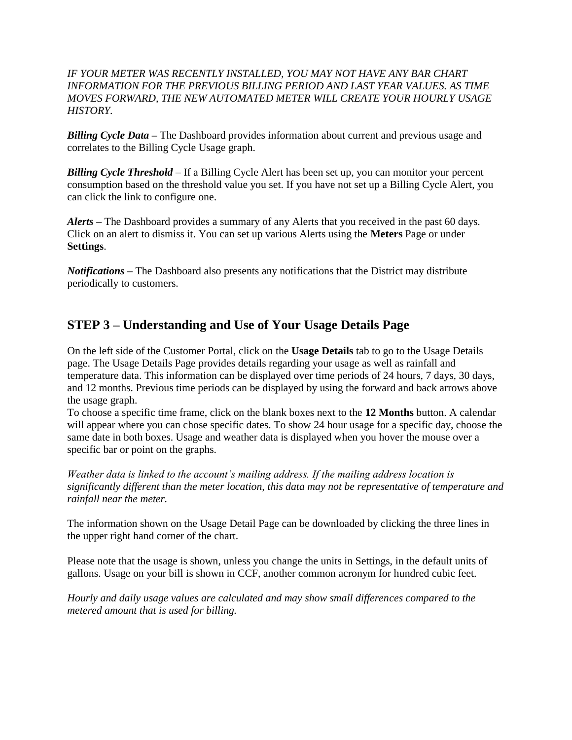#### *IF YOUR METER WAS RECENTLY INSTALLED, YOU MAY NOT HAVE ANY BAR CHART INFORMATION FOR THE PREVIOUS BILLING PERIOD AND LAST YEAR VALUES. AS TIME MOVES FORWARD, THE NEW AUTOMATED METER WILL CREATE YOUR HOURLY USAGE HISTORY.*

*Billing Cycle Data –* The Dashboard provides information about current and previous usage and correlates to the Billing Cycle Usage graph.

*Billing Cycle Threshold* – If a Billing Cycle Alert has been set up, you can monitor your percent consumption based on the threshold value you set. If you have not set up a Billing Cycle Alert, you can click the link to configure one.

*Alerts –* The Dashboard provides a summary of any Alerts that you received in the past 60 days. Click on an alert to dismiss it. You can set up various Alerts using the **Meters** Page or under **Settings**.

*Notifications –* The Dashboard also presents any notifications that the District may distribute periodically to customers.

# **STEP 3 – Understanding and Use of Your Usage Details Page**

On the left side of the Customer Portal, click on the **Usage Details** tab to go to the Usage Details page. The Usage Details Page provides details regarding your usage as well as rainfall and temperature data. This information can be displayed over time periods of 24 hours, 7 days, 30 days, and 12 months. Previous time periods can be displayed by using the forward and back arrows above the usage graph.

To choose a specific time frame, click on the blank boxes next to the **12 Months** button. A calendar will appear where you can chose specific dates. To show 24 hour usage for a specific day, choose the same date in both boxes. Usage and weather data is displayed when you hover the mouse over a specific bar or point on the graphs.

*Weather data is linked to the account's mailing address. If the mailing address location is significantly different than the meter location, this data may not be representative of temperature and rainfall near the meter.* 

The information shown on the Usage Detail Page can be downloaded by clicking the three lines in the upper right hand corner of the chart.

Please note that the usage is shown, unless you change the units in Settings, in the default units of gallons. Usage on your bill is shown in CCF, another common acronym for hundred cubic feet.

*Hourly and daily usage values are calculated and may show small differences compared to the metered amount that is used for billing.*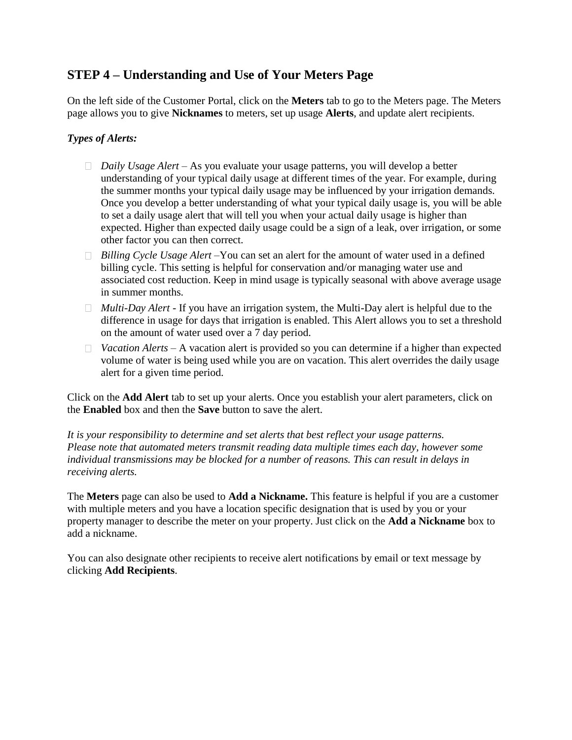## **STEP 4 – Understanding and Use of Your Meters Page**

On the left side of the Customer Portal, click on the **Meters** tab to go to the Meters page. The Meters page allows you to give **Nicknames** to meters, set up usage **Alerts**, and update alert recipients.

### *Types of Alerts:*

- *Daily Usage Alert*  As you evaluate your usage patterns, you will develop a better understanding of your typical daily usage at different times of the year. For example, during the summer months your typical daily usage may be influenced by your irrigation demands. Once you develop a better understanding of what your typical daily usage is, you will be able to set a daily usage alert that will tell you when your actual daily usage is higher than expected. Higher than expected daily usage could be a sign of a leak, over irrigation, or some other factor you can then correct.
- *Billing Cycle Usage Alert* –You can set an alert for the amount of water used in a defined billing cycle. This setting is helpful for conservation and/or managing water use and associated cost reduction. Keep in mind usage is typically seasonal with above average usage in summer months.
- *Multi-Day Alert -* If you have an irrigation system, the Multi-Day alert is helpful due to the difference in usage for days that irrigation is enabled. This Alert allows you to set a threshold on the amount of water used over a 7 day period.
- □ *Vacation Alerts* A vacation alert is provided so you can determine if a higher than expected volume of water is being used while you are on vacation. This alert overrides the daily usage alert for a given time period.

Click on the **Add Alert** tab to set up your alerts. Once you establish your alert parameters, click on the **Enabled** box and then the **Save** button to save the alert.

*It is your responsibility to determine and set alerts that best reflect your usage patterns. Please note that automated meters transmit reading data multiple times each day, however some individual transmissions may be blocked for a number of reasons. This can result in delays in receiving alerts.* 

The **Meters** page can also be used to **Add a Nickname.** This feature is helpful if you are a customer with multiple meters and you have a location specific designation that is used by you or your property manager to describe the meter on your property. Just click on the **Add a Nickname** box to add a nickname.

You can also designate other recipients to receive alert notifications by email or text message by clicking **Add Recipients**.